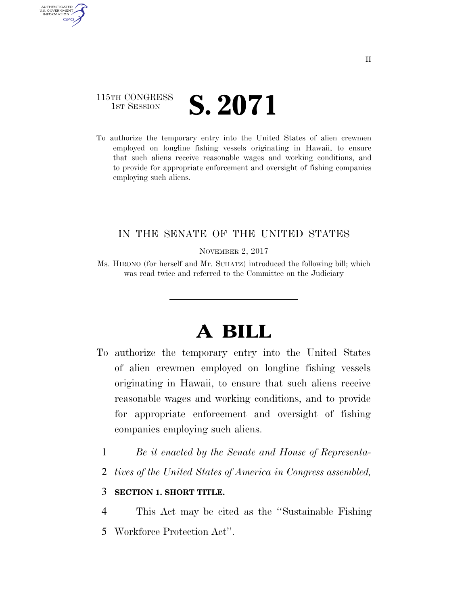## 115TH CONGRESS **IST SESSION S. 2071**

AUTHENTICATED U.S. GOVERNMENT **GPO** 

> To authorize the temporary entry into the United States of alien crewmen employed on longline fishing vessels originating in Hawaii, to ensure that such aliens receive reasonable wages and working conditions, and to provide for appropriate enforcement and oversight of fishing companies employing such aliens.

## IN THE SENATE OF THE UNITED STATES

NOVEMBER 2, 2017

Ms. HIRONO (for herself and Mr. SCHATZ) introduced the following bill; which was read twice and referred to the Committee on the Judiciary

# **A BILL**

- To authorize the temporary entry into the United States of alien crewmen employed on longline fishing vessels originating in Hawaii, to ensure that such aliens receive reasonable wages and working conditions, and to provide for appropriate enforcement and oversight of fishing companies employing such aliens.
	- 1 *Be it enacted by the Senate and House of Representa-*
	- 2 *tives of the United States of America in Congress assembled,*

#### 3 **SECTION 1. SHORT TITLE.**

4 This Act may be cited as the ''Sustainable Fishing 5 Workforce Protection Act''.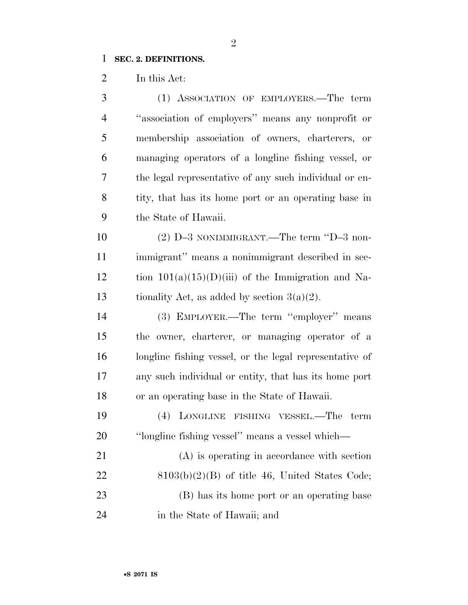## **SEC. 2. DEFINITIONS.**

In this Act:

| 3              | (1) ASSOCIATION OF EMPLOYERS.—The term                  |
|----------------|---------------------------------------------------------|
| $\overline{4}$ | "association of employers" means any nonprofit or       |
| 5              | membership association of owners, charterers, or        |
| 6              | managing operators of a longline fishing vessel, or     |
| 7              | the legal representative of any such individual or en-  |
| 8              | tity, that has its home port or an operating base in    |
| 9              | the State of Hawaii.                                    |
| 10             | $(2)$ D-3 NONIMMIGRANT.—The term "D-3 non-              |
| 11             | immigrant" means a nonimmigrant described in sec-       |
| 12             | tion $101(a)(15)(D)(iii)$ of the Immigration and Na-    |
| 13             | tionality Act, as added by section $3(a)(2)$ .          |
| 14             | (3) EMPLOYER.—The term "employer" means                 |
| 15             | the owner, charterer, or managing operator of a         |
| 16             | longline fishing vessel, or the legal representative of |
| 17             | any such individual or entity, that has its home port   |
| 18             | or an operating base in the State of Hawaii.            |
| 19             | LONGLINE FISHING VESSEL.—The<br>(4)<br>term             |
| 20             | "longline fishing vessel" means a vessel which—         |
| 21             | (A) is operating in accordance with section             |
| 22             | $8103(b)(2)(B)$ of title 46, United States Code;        |
| 23             | (B) has its home port or an operating base              |
| 24             | in the State of Hawaii; and                             |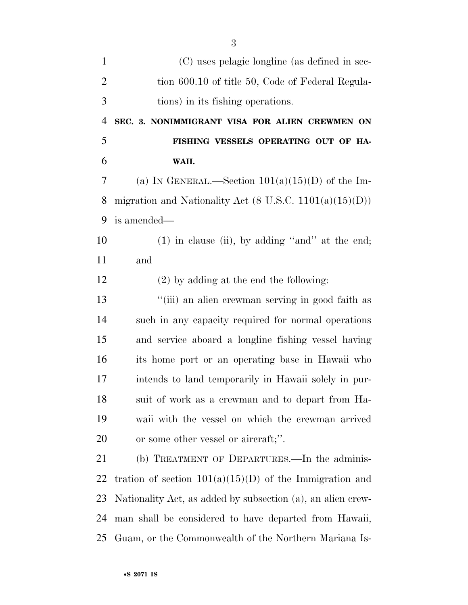| (C) uses pelagic longline (as defined in sec-                      |
|--------------------------------------------------------------------|
| tion 600.10 of title 50, Code of Federal Regula-                   |
| tions) in its fishing operations.                                  |
| SEC. 3. NONIMMIGRANT VISA FOR ALIEN CREWMEN ON                     |
| FISHING VESSELS OPERATING OUT OF HA-                               |
| WAII.                                                              |
| (a) IN GENERAL.—Section $101(a)(15)(D)$ of the Im-                 |
| migration and Nationality Act $(8 \text{ U.S.C. } 1101(a)(15)(D))$ |
| is amended—                                                        |
| $(1)$ in clause (ii), by adding "and" at the end;                  |
| and                                                                |
| $(2)$ by adding at the end the following:                          |
| "(iii) an alien crewman serving in good faith as                   |
| such in any capacity required for normal operations                |
| and service aboard a longline fishing vessel having                |
| its home port or an operating base in Hawaii who                   |
| intends to land temporarily in Hawaii solely in pur-               |
| suit of work as a crewman and to depart from Ha-                   |
| waii with the vessel on which the crewman arrived                  |
| or some other vessel or aircraft;".                                |
| (b) TREATMENT OF DEPARTURES.—In the adminis-                       |
| tration of section $101(a)(15)(D)$ of the Immigration and          |
| Nationality Act, as added by subsection (a), an alien crew-        |
| man shall be considered to have departed from Hawaii,              |
| Guam, or the Commonwealth of the Northern Mariana Is-              |
|                                                                    |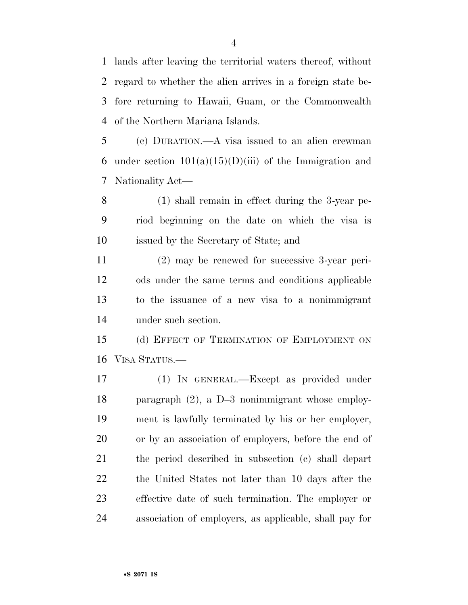lands after leaving the territorial waters thereof, without regard to whether the alien arrives in a foreign state be- fore returning to Hawaii, Guam, or the Commonwealth of the Northern Mariana Islands.

 (c) DURATION.—A visa issued to an alien crewman 6 under section  $101(a)(15)(D)(iii)$  of the Immigration and Nationality Act—

 (1) shall remain in effect during the 3-year pe- riod beginning on the date on which the visa is issued by the Secretary of State; and

 (2) may be renewed for successive 3-year peri- ods under the same terms and conditions applicable to the issuance of a new visa to a nonimmigrant under such section.

 (d) EFFECT OF TERMINATION OF EMPLOYMENT ON VISA STATUS.—

 (1) IN GENERAL.—Except as provided under paragraph (2), a D–3 nonimmigrant whose employ- ment is lawfully terminated by his or her employer, or by an association of employers, before the end of the period described in subsection (c) shall depart the United States not later than 10 days after the effective date of such termination. The employer or association of employers, as applicable, shall pay for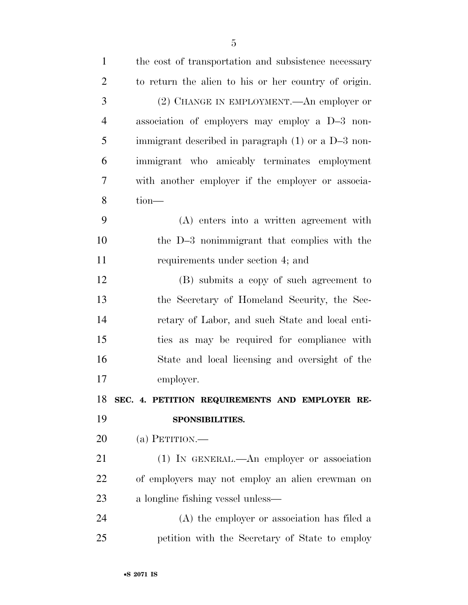| $\mathbf{1}$   | the cost of transportation and subsistence necessary |
|----------------|------------------------------------------------------|
| $\overline{2}$ | to return the alien to his or her country of origin. |
| 3              | (2) CHANGE IN EMPLOYMENT.—An employer or             |
| $\overline{4}$ | association of employers may employ a D-3 non-       |
| 5              | immigrant described in paragraph $(1)$ or a D-3 non- |
| 6              | immigrant who amicably terminates employment         |
| $\tau$         | with another employer if the employer or associa-    |
| 8              | $tion$ —                                             |
| 9              | (A) enters into a written agreement with             |
| 10             | the D-3 nonimmigrant that complies with the          |
| 11             | requirements under section 4; and                    |
| 12             | (B) submits a copy of such agreement to              |
| 13             | the Secretary of Homeland Security, the Sec-         |
| 14             | retary of Labor, and such State and local enti-      |
| 15             | ties as may be required for compliance with          |
| 16             | State and local licensing and oversight of the       |
| 17             | employer.                                            |
|                | 18 SEC. 4. PETITION REQUIREMENTS AND EMPLOYER RE-    |
| 19             | SPONSIBILITIES.                                      |
| 20             | (a) PETITION.—                                       |
| 21             | (1) IN GENERAL.—An employer or association           |
| 22             | of employers may not employ an alien crewman on      |
| 23             | a longline fishing vessel unless—                    |
| 24             | (A) the employer or association has filed a          |
| 25             | petition with the Secretary of State to employ       |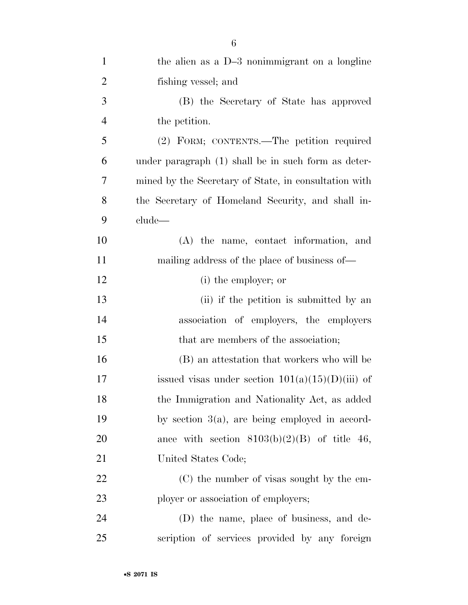| $\mathbf{1}$   | the alien as a D-3 nonimmigrant on a longline         |
|----------------|-------------------------------------------------------|
| $\overline{2}$ | fishing vessel; and                                   |
| 3              | (B) the Secretary of State has approved               |
| $\overline{4}$ | the petition.                                         |
| 5              | (2) FORM; CONTENTS.—The petition required             |
| 6              | under paragraph (1) shall be in such form as deter-   |
| 7              | mined by the Secretary of State, in consultation with |
| 8              | the Secretary of Homeland Security, and shall in-     |
| 9              | clude—                                                |
| 10             | (A) the name, contact information, and                |
| 11             | mailing address of the place of business of—          |
| 12             | (i) the employer; or                                  |
| 13             | (ii) if the petition is submitted by an               |
| 14             | association of employers, the employers               |
| 15             | that are members of the association;                  |
| 16             | (B) an attestation that workers who will be           |
| 17             | issued visas under section $101(a)(15)(D(iii)$ of     |
| 18             | the Immigration and Nationality Act, as added         |
| 19             | by section $3(a)$ , are being employed in accord-     |
| 20             | ance with section $8103(b)(2)(B)$ of title 46,        |
| 21             | United States Code;                                   |
| 22             | (C) the number of visas sought by the em-             |
| 23             | ployer or association of employers;                   |
| 24             | (D) the name, place of business, and de-              |
| 25             | scription of services provided by any foreign         |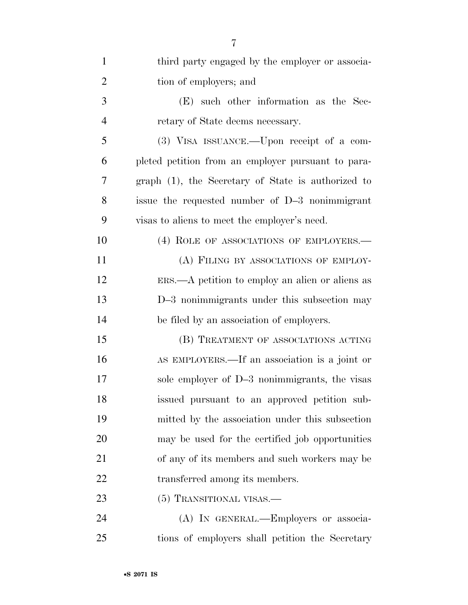| $\mathbf{1}$   | third party engaged by the employer or associa-               |
|----------------|---------------------------------------------------------------|
| $\overline{2}$ | tion of employers; and                                        |
| 3              | (E) such other information as the Sec-                        |
| $\overline{4}$ | retary of State deems necessary.                              |
| 5              | (3) VISA ISSUANCE.—Upon receipt of a com-                     |
| 6              | pleted petition from an employer pursuant to para-            |
| 7              | graph (1), the Secretary of State is authorized to            |
| 8              | issue the requested number of D-3 nonimmigrant                |
| 9              | visas to aliens to meet the employer's need.                  |
| 10             | (4) ROLE OF ASSOCIATIONS OF EMPLOYERS.—                       |
| 11             | (A) FILING BY ASSOCIATIONS OF EMPLOY-                         |
| 12             | $ERS. \rightarrow A$ petition to employ an alien or aliens as |
| 13             | D-3 nonimmigrants under this subsection may                   |
| 14             | be filed by an association of employers.                      |
| 15             | (B) TREATMENT OF ASSOCIATIONS ACTING                          |
| 16             | AS EMPLOYERS.—If an association is a joint or                 |
| 17             | sole employer of D-3 nonimmigrants, the visas                 |
| 18             | issued pursuant to an approved petition sub-                  |
| 19             | mitted by the association under this subsection               |
| 20             | may be used for the certified job opportunities               |
| 21             | of any of its members and such workers may be                 |
| 22             | transferred among its members.                                |
| 23             | (5) TRANSITIONAL VISAS.—                                      |
| 24             | (A) IN GENERAL.—Employers or associa-                         |
|                |                                                               |

tions of employers shall petition the Secretary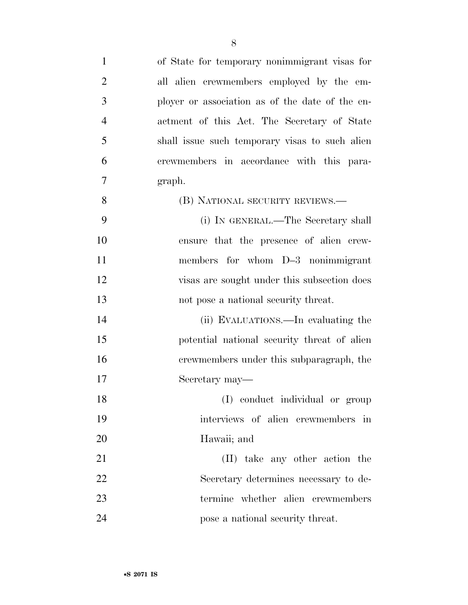| $\mathbf{1}$   | of State for temporary nonimmigrant visas for   |
|----------------|-------------------------------------------------|
| $\overline{2}$ | all alien crewmembers employed by the em-       |
| 3              | ployer or association as of the date of the en- |
| $\overline{4}$ | actment of this Act. The Secretary of State     |
| 5              | shall issue such temporary visas to such alien  |
| 6              | crewmembers in accordance with this para-       |
| 7              | graph.                                          |
| 8              | (B) NATIONAL SECURITY REVIEWS.—                 |
| 9              | (i) IN GENERAL.—The Secretary shall             |
| 10             | ensure that the presence of alien crew-         |
| 11             | members for whom D-3 nonimmigrant               |
| 12             | visas are sought under this subsection does     |
| 13             | not pose a national security threat.            |
| 14             | (ii) EVALUATIONS.—In evaluating the             |
| 15             | potential national security threat of alien     |
| 16             | crewmembers under this subparagraph, the        |
| 17             | Secretary may—                                  |
| 18             | (I) conduct individual or group                 |
| 19             | interviews of alien crewmembers in              |
| 20             | Hawaii; and                                     |
| 21             | (II) take any other action the                  |
| 22             | Secretary determines necessary to de-           |
| 23             | termine whether alien crewmembers               |
| 24             | pose a national security threat.                |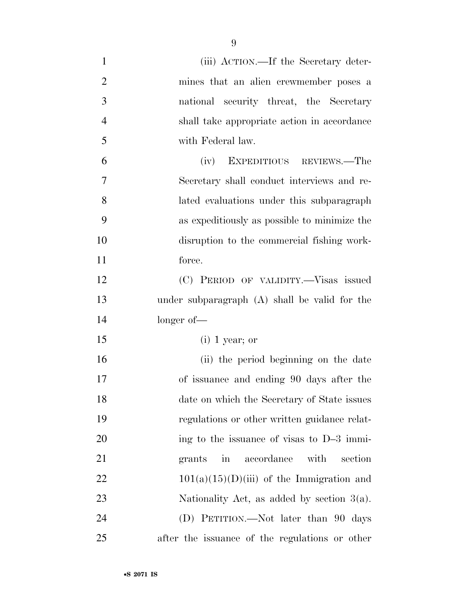| $\mathbf{1}$   | (iii) ACTION.—If the Secretary deter-                          |
|----------------|----------------------------------------------------------------|
| $\overline{2}$ | mines that an alien crewmember poses a                         |
| 3              | national security threat, the Secretary                        |
| $\overline{4}$ | shall take appropriate action in accordance                    |
| 5              | with Federal law.                                              |
| 6              | (iv) EXPEDITIOUS REVIEWS.—The                                  |
| $\tau$         | Secretary shall conduct interviews and re-                     |
| 8              | lated evaluations under this subparagraph                      |
| 9              | as expeditiously as possible to minimize the                   |
| 10             | disruption to the commercial fishing work-                     |
| 11             | force.                                                         |
| 12             | (C) PERIOD OF VALIDITY.—Visas issued                           |
| 13             | under subparagraph $(A)$ shall be valid for the                |
| 14             | $longer of$ —                                                  |
| 15             | $(i)$ 1 year; or                                               |
| 16             | (ii) the period beginning on the date                          |
| 17             | of issuance and ending 90 days after the                       |
| 18             | date on which the Secretary of State issues                    |
| 19             | regulations or other written guidance relat-                   |
| 20             | ing to the issuance of visas to D-3 immi-                      |
| 21             | with<br>accordance<br>section<br>$\operatorname{in}$<br>grants |
| 22             | $101(a)(15)(D)(iii)$ of the Immigration and                    |
| 23             | Nationality Act, as added by section $3(a)$ .                  |
| 24             | (D) PETITION.—Not later than 90 days                           |
| 25             | after the issuance of the regulations or other                 |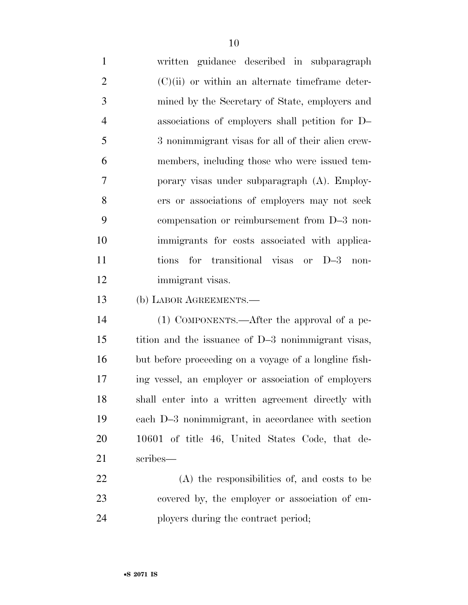written guidance described in subparagraph (C)(ii) or within an alternate timeframe deter- mined by the Secretary of State, employers and associations of employers shall petition for D– 3 nonimmigrant visas for all of their alien crew- members, including those who were issued tem- porary visas under subparagraph (A). Employ- ers or associations of employers may not seek compensation or reimbursement from D–3 non- immigrants for costs associated with applica- tions for transitional visas or D–3 non-immigrant visas.

(b) LABOR AGREEMENTS.—

 (1) COMPONENTS.—After the approval of a pe- tition and the issuance of D–3 nonimmigrant visas, but before proceeding on a voyage of a longline fish- ing vessel, an employer or association of employers shall enter into a written agreement directly with each D–3 nonimmigrant, in accordance with section 10601 of title 46, United States Code, that de-scribes—

 (A) the responsibilities of, and costs to be covered by, the employer or association of em-24 ployers during the contract period;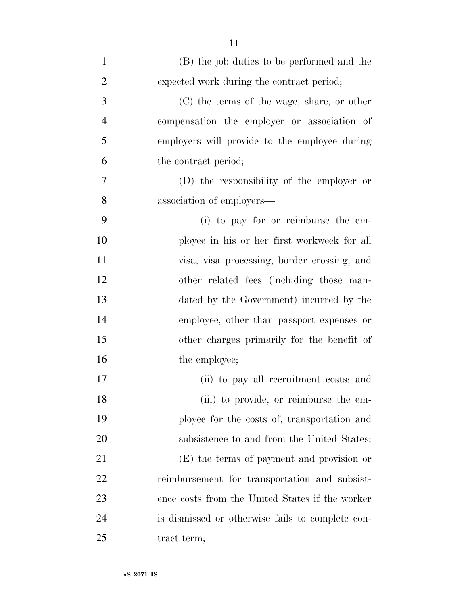| $\mathbf{1}$   | (B) the job duties to be performed and the       |
|----------------|--------------------------------------------------|
| $\overline{2}$ | expected work during the contract period;        |
| 3              | (C) the terms of the wage, share, or other       |
| $\overline{4}$ | compensation the employer or association of      |
| 5              | employers will provide to the employee during    |
| 6              | the contract period;                             |
| 7              | (D) the responsibility of the employer or        |
| 8              | association of employers—                        |
| 9              | (i) to pay for or reimburse the em-              |
| 10             | ployee in his or her first workweek for all      |
| 11             | visa, visa processing, border crossing, and      |
| 12             | other related fees (including those man-         |
| 13             | dated by the Government) incurred by the         |
| 14             | employee, other than passport expenses or        |
| 15             | other charges primarily for the benefit of       |
| 16             | the employee;                                    |
| 17             | (ii) to pay all recruitment costs; and           |
| 18             | (iii) to provide, or reimburse the em-           |
| 19             | ployee for the costs of, transportation and      |
| 20             | subsistence to and from the United States;       |
| 21             | (E) the terms of payment and provision or        |
| 22             | reimbursement for transportation and subsist-    |
| 23             | ence costs from the United States if the worker  |
| 24             | is dismissed or otherwise fails to complete con- |
| 25             | tract term;                                      |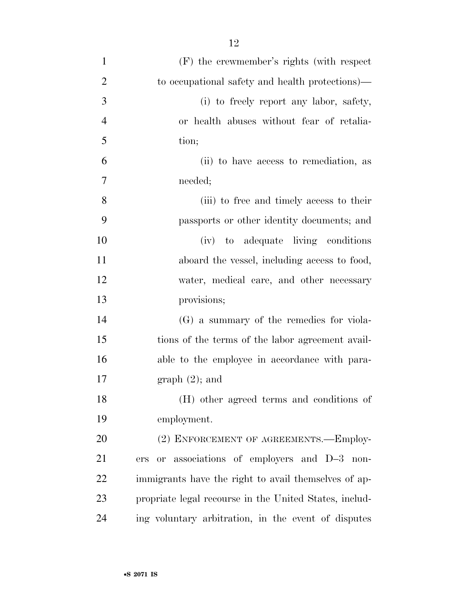| $\mathbf{1}$   | $(F)$ the crewmember's rights (with respect)           |
|----------------|--------------------------------------------------------|
| $\overline{2}$ | to occupational safety and health protections)—        |
| 3              | (i) to freely report any labor, safety,                |
| $\overline{4}$ | or health abuses without fear of retalia-              |
| 5              | tion;                                                  |
| 6              | (ii) to have access to remediation, as                 |
| 7              | needed;                                                |
| 8              | (iii) to free and timely access to their               |
| 9              | passports or other identity documents; and             |
| 10             | (iv) to adequate living conditions                     |
| 11             | aboard the vessel, including access to food,           |
| 12             | water, medical care, and other necessary               |
| 13             | provisions;                                            |
| 14             | $(G)$ a summary of the remedies for viola-             |
| 15             | tions of the terms of the labor agreement avail-       |
| 16             | able to the employee in accordance with para-          |
| 17             | $graph(2)$ ; and                                       |
| 18             | (H) other agreed terms and conditions of               |
| 19             | employment.                                            |
| <b>20</b>      | (2) ENFORCEMENT OF AGREEMENTS.—Employ-                 |
| 21             | or associations of employers and D-3 non-<br>ers       |
| 22             | immigrants have the right to avail themselves of ap-   |
| 23             | propriate legal recourse in the United States, includ- |
| 24             | ing voluntary arbitration, in the event of disputes    |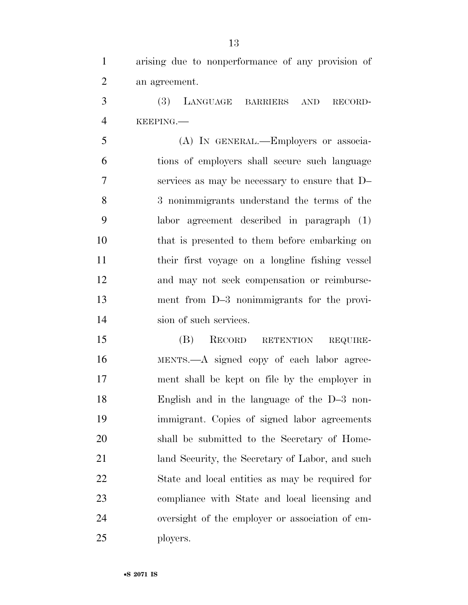arising due to nonperformance of any provision of an agreement.

 (3) LANGUAGE BARRIERS AND RECORD-KEEPING.—

 (A) IN GENERAL.—Employers or associa- tions of employers shall secure such language services as may be necessary to ensure that D– 3 nonimmigrants understand the terms of the labor agreement described in paragraph (1) that is presented to them before embarking on their first voyage on a longline fishing vessel and may not seek compensation or reimburse- ment from D–3 nonimmigrants for the provi-sion of such services.

 (B) RECORD RETENTION REQUIRE- MENTS.—A signed copy of each labor agree- ment shall be kept on file by the employer in English and in the language of the D–3 non- immigrant. Copies of signed labor agreements shall be submitted to the Secretary of Home- land Security, the Secretary of Labor, and such State and local entities as may be required for compliance with State and local licensing and oversight of the employer or association of em-ployers.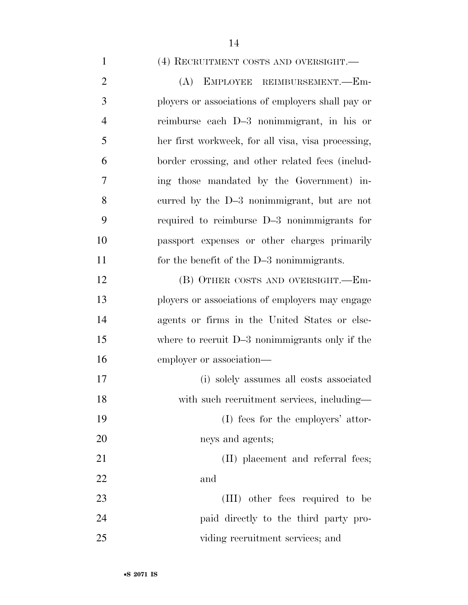#### (4) RECRUITMENT COSTS AND OVERSIGHT.—

 (A) EMPLOYEE REIMBURSEMENT.—Em- ployers or associations of employers shall pay or reimburse each D–3 nonimmigrant, in his or her first workweek, for all visa, visa processing, border crossing, and other related fees (includ- ing those mandated by the Government) in- curred by the D–3 nonimmigrant, but are not required to reimburse D–3 nonimmigrants for passport expenses or other charges primarily for the benefit of the D–3 nonimmigrants. 12 (B) OTHER COSTS AND OVERSIGHT.—Em-

 ployers or associations of employers may engage agents or firms in the United States or else- where to recruit D–3 nonimmigrants only if the employer or association— (i) solely assumes all costs associated

18 with such recruitment services, including— (I) fees for the employers' attor-neys and agents;

21 (II) placement and referral fees; and

23 (III) other fees required to be paid directly to the third party pro-viding recruitment services; and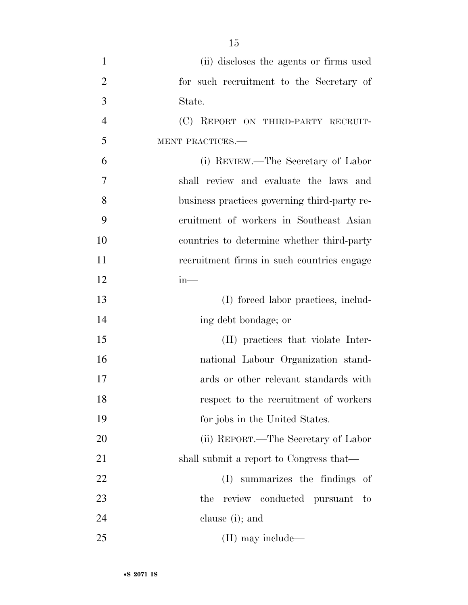- (ii) discloses the agents or firms used for such recruitment to the Secretary of State. (C) REPORT ON THIRD-PARTY RECRUIT- MENT PRACTICES.— (i) REVIEW.—The Secretary of Labor shall review and evaluate the laws and business practices governing third-party re- cruitment of workers in Southeast Asian countries to determine whether third-party recruitment firms in such countries engage in— (I) forced labor practices, includ- ing debt bondage; or (II) practices that violate Inter- national Labour Organization stand- ards or other relevant standards with respect to the recruitment of workers for jobs in the United States. (ii) REPORT.—The Secretary of Labor 21 shall submit a report to Congress that— (I) summarizes the findings of 23 the review conducted pursuant to
- clause (i); and
- (II) may include—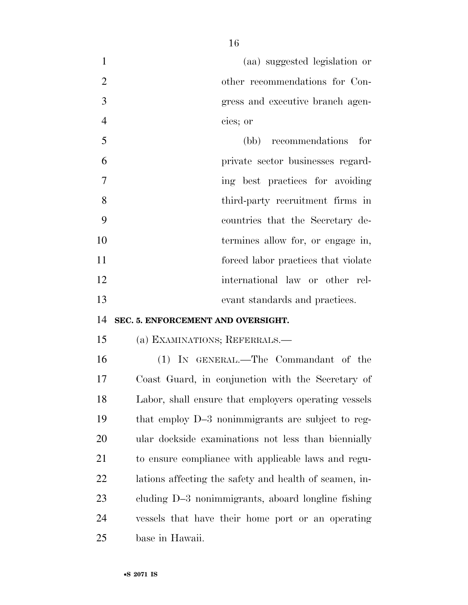|   | (aa) suggested legislation or    |
|---|----------------------------------|
|   | other recommendations for Con-   |
|   | gress and executive branch agen- |
|   | cies; or                         |
|   | recommendations for<br>(bb)      |
| А | privato soctor businossos rocard |

 private sector businesses regard-7 ing best practices for avoiding third-party recruitment firms in countries that the Secretary de-10 termines allow for, or engage in, **forced** labor practices that violate international law or other rel-evant standards and practices.

#### **SEC. 5. ENFORCEMENT AND OVERSIGHT.**

#### (a) EXAMINATIONS; REFERRALS.—

 (1) IN GENERAL.—The Commandant of the Coast Guard, in conjunction with the Secretary of Labor, shall ensure that employers operating vessels that employ D–3 nonimmigrants are subject to reg- ular dockside examinations not less than biennially to ensure compliance with applicable laws and regu- lations affecting the safety and health of seamen, in- cluding D–3 nonimmigrants, aboard longline fishing vessels that have their home port or an operating base in Hawaii.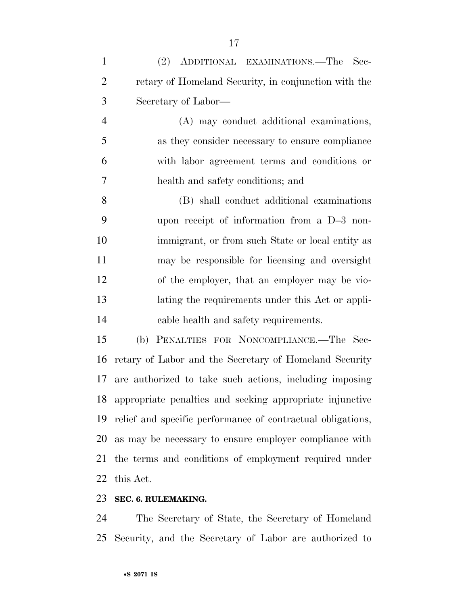| $\mathbf{1}$   | (2) ADDITIONAL EXAMINATIONS.—The Sec-                |
|----------------|------------------------------------------------------|
| $\overline{2}$ | retary of Homeland Security, in conjunction with the |
| 3              | Secretary of Labor—                                  |
| 4              | (A) may conduct additional examinations,             |
| 5              | as they consider necessary to ensure compliance      |
| 6              | with labor agreement terms and conditions or         |
| 7              | health and safety conditions; and                    |
| 8              | (B) shall conduct additional examinations            |
| 9              | upon receipt of information from a D-3 non-          |
| 10             | immigrant, or from such State or local entity as     |
| 11             | may be responsible for licensing and oversight       |
| 12             | of the employer, that an employer may be vio-        |
| 13             | lating the requirements under this Act or appli-     |
| 14             | cable health and safety requirements.                |
| 15             | PENALTIES FOR NONCOMPLIANCE.-The Sec-<br>(b)         |

 retary of Labor and the Secretary of Homeland Security are authorized to take such actions, including imposing appropriate penalties and seeking appropriate injunctive relief and specific performance of contractual obligations, as may be necessary to ensure employer compliance with the terms and conditions of employment required under this Act.

#### **SEC. 6. RULEMAKING.**

 The Secretary of State, the Secretary of Homeland Security, and the Secretary of Labor are authorized to